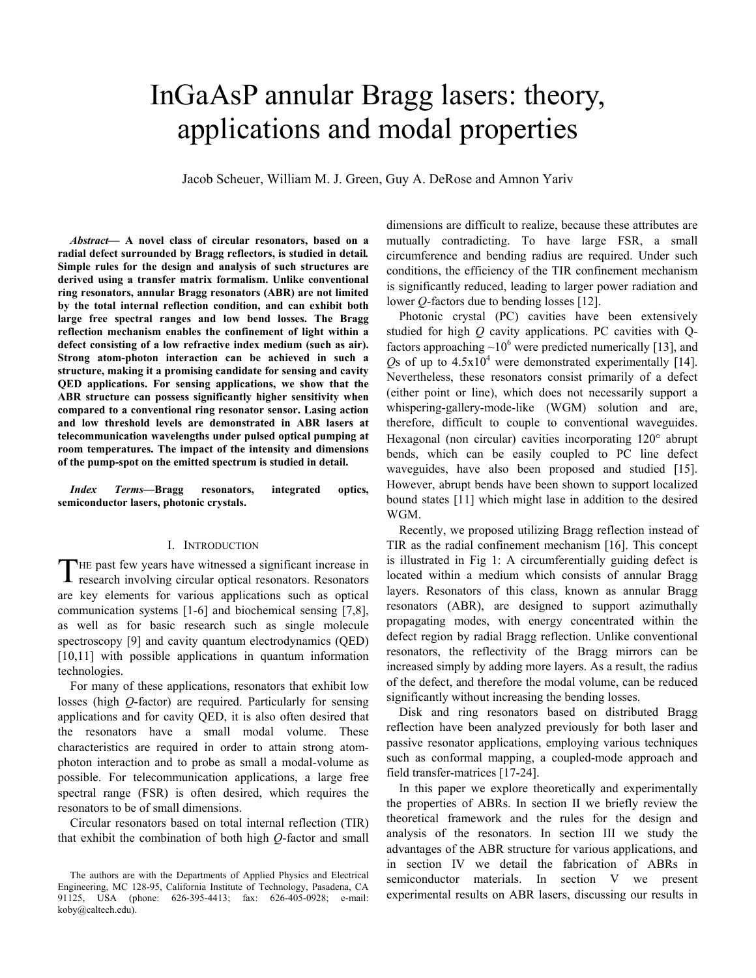# InGaAsP annular Bragg lasers: theory, applications and modal properties

Jacob Scheuer, William M. J. Green, Guy A. DeRose and Amnon Yariv

*Abstract***— A novel class of circular resonators, based on a radial defect surrounded by Bragg reflectors, is studied in detail***.* **Simple rules for the design and analysis of such structures are derived using a transfer matrix formalism. Unlike conventional ring resonators, annular Bragg resonators (ABR) are not limited by the total internal reflection condition, and can exhibit both large free spectral ranges and low bend losses. The Bragg reflection mechanism enables the confinement of light within a defect consisting of a low refractive index medium (such as air). Strong atom-photon interaction can be achieved in such a structure, making it a promising candidate for sensing and cavity QED applications. For sensing applications, we show that the ABR structure can possess significantly higher sensitivity when compared to a conventional ring resonator sensor. Lasing action and low threshold levels are demonstrated in ABR lasers at telecommunication wavelengths under pulsed optical pumping at room temperatures. The impact of the intensity and dimensions of the pump-spot on the emitted spectrum is studied in detail.** 

*Index Terms***—Bragg resonators, integrated optics, semiconductor lasers, photonic crystals.**

## I. INTRODUCTION

THE past few years have witnessed a significant increase in research involving circular optical resonators. Resonators are key elements for various applications such as optical communication systems [1-6] and biochemical sensing [7,8], as well as for basic research such as single molecule spectroscopy [9] and cavity quantum electrodynamics (QED) [10,11] with possible applications in quantum information technologies.

For many of these applications, resonators that exhibit low losses (high *Q*-factor) are required. Particularly for sensing applications and for cavity QED, it is also often desired that the resonators have a small modal volume. These characteristics are required in order to attain strong atomphoton interaction and to probe as small a modal-volume as possible. For telecommunication applications, a large free spectral range (FSR) is often desired, which requires the resonators to be of small dimensions.

Circular resonators based on total internal reflection (TIR) that exhibit the combination of both high *Q*-factor and small dimensions are difficult to realize, because these attributes are mutually contradicting. To have large FSR, a small circumference and bending radius are required. Under such conditions, the efficiency of the TIR confinement mechanism is significantly reduced, leading to larger power radiation and lower *Q*-factors due to bending losses [12].

Photonic crystal (PC) cavities have been extensively studied for high *Q* cavity applications. PC cavities with Qfactors approaching  $\sim 10^6$  were predicted numerically [13], and Qs of up to  $4.5x10^4$  were demonstrated experimentally [14]. Nevertheless, these resonators consist primarily of a defect (either point or line), which does not necessarily support a whispering-gallery-mode-like (WGM) solution and are, therefore, difficult to couple to conventional waveguides. Hexagonal (non circular) cavities incorporating 120° abrupt bends, which can be easily coupled to PC line defect waveguides, have also been proposed and studied [15]. However, abrupt bends have been shown to support localized bound states [11] which might lase in addition to the desired WGM.

Recently, we proposed utilizing Bragg reflection instead of TIR as the radial confinement mechanism [16]. This concept is illustrated in Fig 1: A circumferentially guiding defect is located within a medium which consists of annular Bragg layers. Resonators of this class, known as annular Bragg resonators (ABR), are designed to support azimuthally propagating modes, with energy concentrated within the defect region by radial Bragg reflection. Unlike conventional resonators, the reflectivity of the Bragg mirrors can be increased simply by adding more layers. As a result, the radius of the defect, and therefore the modal volume, can be reduced significantly without increasing the bending losses.

Disk and ring resonators based on distributed Bragg reflection have been analyzed previously for both laser and passive resonator applications, employing various techniques such as conformal mapping, a coupled-mode approach and field transfer-matrices [17-24].

In this paper we explore theoretically and experimentally the properties of ABRs. In section II we briefly review the theoretical framework and the rules for the design and analysis of the resonators. In section III we study the advantages of the ABR structure for various applications, and in section IV we detail the fabrication of ABRs in semiconductor materials. In section V we present experimental results on ABR lasers, discussing our results in

The authors are with the Departments of Applied Physics and Electrical Engineering, MC 128-95, California Institute of Technology, Pasadena, CA 91125, USA (phone: 626-395-4413; fax: 626-405-0928; e-mail: koby@caltech.edu).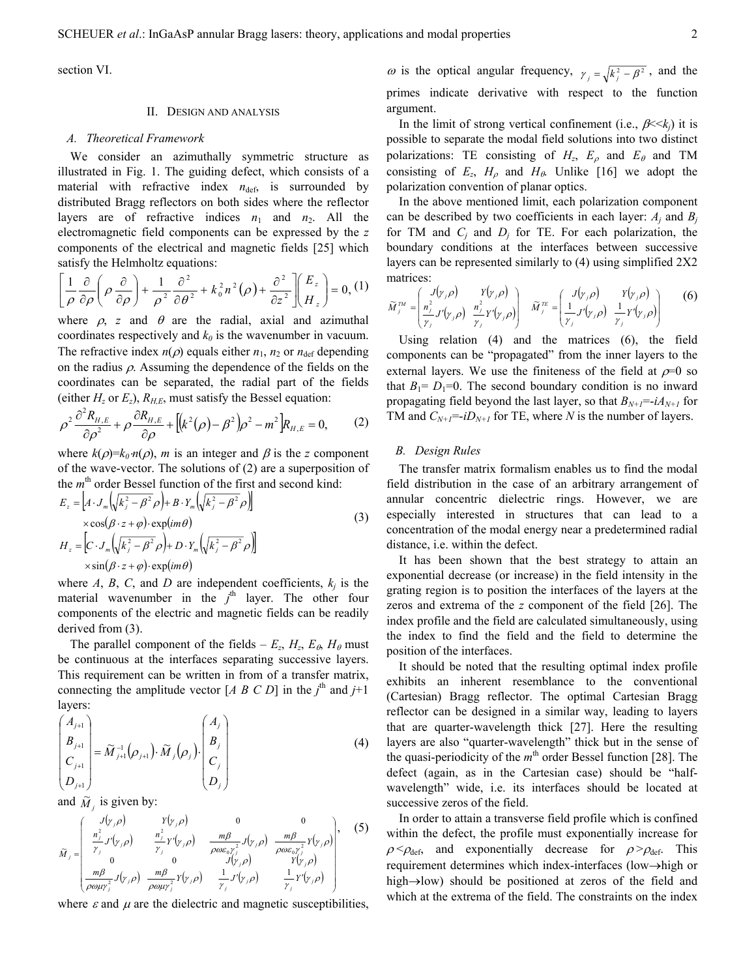section VI.

#### II. DESIGN AND ANALYSIS

#### *A. Theoretical Framework*

We consider an azimuthally symmetric structure as illustrated in Fig. 1. The guiding defect, which consists of a material with refractive index  $n_{\text{def}}$  is surrounded by distributed Bragg reflectors on both sides where the reflector layers are of refractive indices  $n_1$  and  $n_2$ . All the electromagnetic field components can be expressed by the *z* components of the electrical and magnetic fields [25] which satisfy the Helmholtz equations:

$$
\left[\frac{1}{\rho}\frac{\partial}{\partial\rho}\left(\rho\frac{\partial}{\partial\rho}\right) + \frac{1}{\rho^2}\frac{\partial^2}{\partial\theta^2} + k_0^2n^2(\rho) + \frac{\partial^2}{\partial z^2}\right]\left(\frac{E_z}{H_z}\right) = 0, \, (1)
$$

where  $\rho$ , *z* and  $\theta$  are the radial, axial and azimuthal coordinates respectively and  $k_0$  is the wavenumber in vacuum. The refractive index  $n(\rho)$  equals either  $n_1$ ,  $n_2$  or  $n_{\text{def}}$  depending on the radius  $\rho$ . Assuming the dependence of the fields on the coordinates can be separated, the radial part of the fields (either  $H_z$  or  $E_z$ ),  $R_{H,E}$ , must satisfy the Bessel equation:

$$
\rho^2 \frac{\partial^2 R_{H,E}}{\partial \rho^2} + \rho \frac{\partial R_{H,E}}{\partial \rho} + \left[ \left( k^2(\rho) - \beta^2 \right) \rho^2 - m^2 \right] R_{H,E} = 0, \tag{2}
$$

where  $k(\rho)=k_0 n(\rho)$ , *m* is an integer and  $\beta$  is the *z* component of the wave-vector. The solutions of (2) are a superposition of the *m*<sup>th</sup> order Bessel function of the first and second kind:

$$
E_z = [A \cdot J_m \left( \sqrt{k_j^2 - \beta^2 \rho} \right) + B \cdot Y_m \left( \sqrt{k_j^2 - \beta^2 \rho} \right)]
$$
  
\n
$$
\times \cos(\beta \cdot z + \varphi) \cdot \exp(im\theta)
$$
  
\n
$$
H_z = [C \cdot J_m \left( \sqrt{k_j^2 - \beta^2 \rho} \right) + D \cdot Y_m \left( \sqrt{k_j^2 - \beta^2 \rho} \right)]
$$
  
\n
$$
\times \sin(\beta \cdot z + \varphi) \cdot \exp(im\theta)
$$
\n(3)

where  $A$ ,  $B$ ,  $C$ , and  $D$  are independent coefficients,  $k_j$  is the material wavenumber in the  $j<sup>th</sup>$  layer. The other four components of the electric and magnetic fields can be readily derived from (3).

The parallel component of the fields –  $E_z$ ,  $H_z$ ,  $E_\theta$ ,  $H_\theta$  must be continuous at the interfaces separating successive layers. This requirement can be written in from of a transfer matrix, connecting the amplitude vector  $[A \ B \ C \ D]$  in the  $j^{\text{th}}$  and  $j+1$ layers:

$$
\begin{pmatrix} A_{j+1} \\ B_{j+1} \\ C_{j+1} \\ D_{j+1} \end{pmatrix} = \widetilde{M}_{j+1}^{-1} \left( \rho_{j+1} \right) \cdot \widetilde{M}_{j} \left( \rho_{j} \right) \cdot \begin{pmatrix} A_{j} \\ B_{j} \\ C_{j} \\ D_{j} \end{pmatrix}
$$
 (4)

and  $\widetilde{M}_j$  is given by:

$$
\widetilde{M}_{j} = \begin{pmatrix}\nJ(y_{j}\rho) & Y(y_{j}\rho) & 0 & 0 \\
\frac{n_{j}^{2}}{Y_{j}}J'(y_{j}\rho) & \frac{n_{j}^{2}}{Y_{j}}Y'(y_{j}\rho) & \frac{m\beta}{\rho\omega\varepsilon_{0}Y_{j}^{2}}J(y_{j}\rho) & \frac{m\beta}{\rho\omega\varepsilon_{0}Y_{j}^{2}}Y(y_{j}\rho) \\
0 & 0 & J(y_{j}\rho) & Y(y_{j}\rho) \\
\frac{m\beta}{\rho\omega\mu y_{j}^{2}}J(y_{j}\rho) & \frac{m\beta}{\rho\omega\mu y_{j}^{2}}Y(y_{j}\rho) & \frac{1}{Y_{j}}J'(y_{j}\rho) & \frac{1}{Y_{j}}Y'(y_{j}\rho)\n\end{pmatrix},
$$
\n(5)

where  $\varepsilon$  and  $\mu$  are the dielectric and magnetic susceptibilities,

ω is the optical angular frequency,  $\gamma_i = \sqrt{k_i^2 - \beta^2}$ , and the primes indicate derivative with respect to the function argument.

In the limit of strong vertical confinement (i.e.,  $\beta \ll k_i$ ) it is possible to separate the modal field solutions into two distinct polarizations: TE consisting of  $H_z$ ,  $E_\rho$  and  $E_\theta$  and TM consisting of  $E_z$ ,  $H_\rho$  and  $H_\theta$ . Unlike [16] we adopt the polarization convention of planar optics.

In the above mentioned limit, each polarization component can be described by two coefficients in each layer:  $A_i$  and  $B_i$ for TM and  $C_i$  and  $D_i$  for TE. For each polarization, the boundary conditions at the interfaces between successive layers can be represented similarly to (4) using simplified 2X2 matrices:

$$
\widetilde{M}_{j}^{TM} = \left(\frac{J(\gamma,\rho)}{r_j} \frac{Y(\gamma,\rho)}{r_j} \frac{r_{j,\rho}}{r_j} \right) \quad \widetilde{M}_{j}^{TE} = \left(\frac{J(\gamma,\rho)}{r_j} \frac{Y(\gamma,\rho)}{r_j} \frac{r_{j,\rho}}{r_j} \right) \quad (6)
$$

Using relation (4) and the matrices (6), the field components can be "propagated" from the inner layers to the external layers. We use the finiteness of the field at  $\rho=0$  so that  $B_1 = D_1 = 0$ . The second boundary condition is no inward propagating field beyond the last layer, so that  $B_{N+1} = -iA_{N+1}$  for TM and  $C_{N+1} = -iD_{N+1}$  for TE, where *N* is the number of layers.

## *B. Design Rules*

The transfer matrix formalism enables us to find the modal field distribution in the case of an arbitrary arrangement of annular concentric dielectric rings. However, we are especially interested in structures that can lead to a concentration of the modal energy near a predetermined radial distance, i.e. within the defect.

It has been shown that the best strategy to attain an exponential decrease (or increase) in the field intensity in the grating region is to position the interfaces of the layers at the zeros and extrema of the *z* component of the field [26]. The index profile and the field are calculated simultaneously, using the index to find the field and the field to determine the position of the interfaces.

It should be noted that the resulting optimal index profile exhibits an inherent resemblance to the conventional (Cartesian) Bragg reflector. The optimal Cartesian Bragg reflector can be designed in a similar way, leading to layers that are quarter-wavelength thick [27]. Here the resulting layers are also "quarter-wavelength" thick but in the sense of the quasi-periodicity of the *m*<sup>th</sup> order Bessel function [28]. The defect (again, as in the Cartesian case) should be "halfwavelength" wide, i.e. its interfaces should be located at successive zeros of the field.

In order to attain a transverse field profile which is confined within the defect, the profile must exponentially increase for  $\rho < \rho_{\text{def}}$ , and exponentially decrease for  $\rho > \rho_{\text{def}}$ . This requirement determines which index-interfaces (low→high or high→low) should be positioned at zeros of the field and which at the extrema of the field. The constraints on the index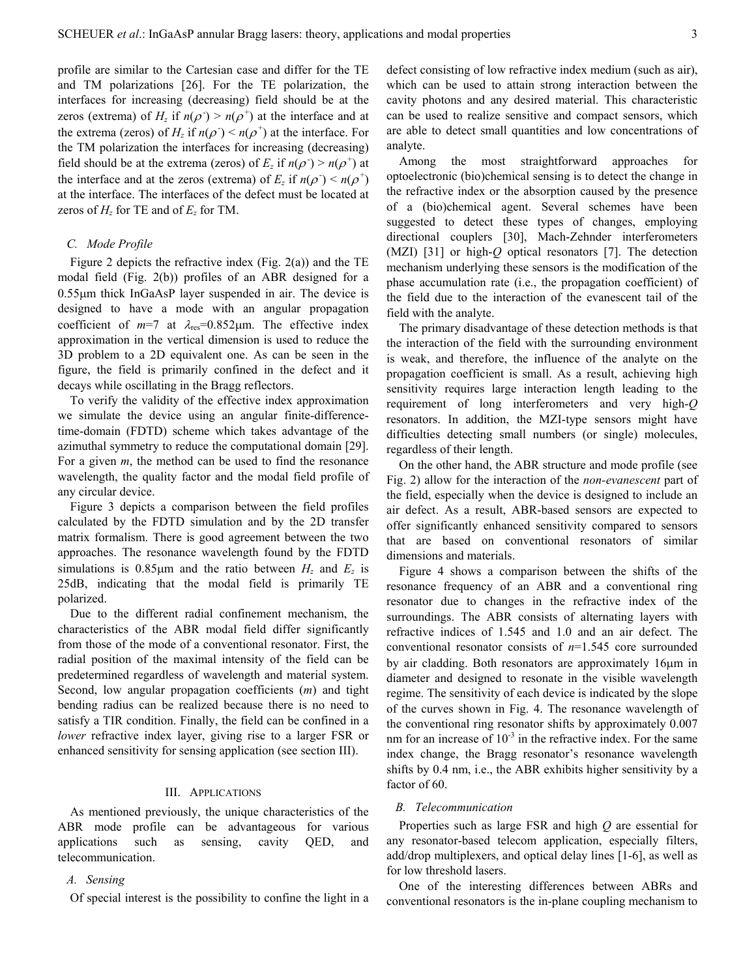profile are similar to the Cartesian case and differ for the TE and TM polarizations [26]. For the TE polarization, the interfaces for increasing (decreasing) field should be at the zeros (extrema) of  $H_z$  if  $n(\rho^+) > n(\rho^+)$  at the interface and at the extrema (zeros) of  $H_z$  if  $n(\rho^+) < n(\rho^+)$  at the interface. For the TM polarization the interfaces for increasing (decreasing) field should be at the extrema (zeros) of  $E_z$  if  $n(\rho^+) > n(\rho^+)$  at the interface and at the zeros (extrema) of  $E_z$  if  $n(\rho^+) \le n(\rho^+)$ at the interface. The interfaces of the defect must be located at zeros of  $H_z$  for TE and of  $E_z$  for TM.

## *C. Mode Profile*

Figure 2 depicts the refractive index (Fig. 2(a)) and the TE modal field (Fig. 2(b)) profiles of an ABR designed for a 0.55µm thick InGaAsP layer suspended in air. The device is designed to have a mode with an angular propagation coefficient of  $m=7$  at  $\lambda_{res}=0.852 \mu m$ . The effective index approximation in the vertical dimension is used to reduce the 3D problem to a 2D equivalent one. As can be seen in the figure, the field is primarily confined in the defect and it decays while oscillating in the Bragg reflectors.

To verify the validity of the effective index approximation we simulate the device using an angular finite-differencetime-domain (FDTD) scheme which takes advantage of the azimuthal symmetry to reduce the computational domain [29]. For a given *m*, the method can be used to find the resonance wavelength, the quality factor and the modal field profile of any circular device.

Figure 3 depicts a comparison between the field profiles calculated by the FDTD simulation and by the 2D transfer matrix formalism. There is good agreement between the two approaches. The resonance wavelength found by the FDTD simulations is  $0.85\mu$ m and the ratio between  $H_z$  and  $E_z$  is 25dB, indicating that the modal field is primarily TE polarized.

Due to the different radial confinement mechanism, the characteristics of the ABR modal field differ significantly from those of the mode of a conventional resonator. First, the radial position of the maximal intensity of the field can be predetermined regardless of wavelength and material system. Second, low angular propagation coefficients (*m*) and tight bending radius can be realized because there is no need to satisfy a TIR condition. Finally, the field can be confined in a *lower* refractive index layer, giving rise to a larger FSR or enhanced sensitivity for sensing application (see section III).

## III. APPLICATIONS

As mentioned previously, the unique characteristics of the ABR mode profile can be advantageous for various applications such as sensing, cavity QED, and telecommunication.

### *A. Sensing*

Of special interest is the possibility to confine the light in a

defect consisting of low refractive index medium (such as air), which can be used to attain strong interaction between the cavity photons and any desired material. This characteristic can be used to realize sensitive and compact sensors, which are able to detect small quantities and low concentrations of analyte.

Among the most straightforward approaches for optoelectronic (bio)chemical sensing is to detect the change in the refractive index or the absorption caused by the presence of a (bio)chemical agent. Several schemes have been suggested to detect these types of changes, employing directional couplers [30], Mach-Zehnder interferometers (MZI) [31] or high-*Q* optical resonators [7]. The detection mechanism underlying these sensors is the modification of the phase accumulation rate (i.e., the propagation coefficient) of the field due to the interaction of the evanescent tail of the field with the analyte.

The primary disadvantage of these detection methods is that the interaction of the field with the surrounding environment is weak, and therefore, the influence of the analyte on the propagation coefficient is small. As a result, achieving high sensitivity requires large interaction length leading to the requirement of long interferometers and very high-*Q* resonators. In addition, the MZI-type sensors might have difficulties detecting small numbers (or single) molecules, regardless of their length.

On the other hand, the ABR structure and mode profile (see Fig. 2) allow for the interaction of the *non-evanescent* part of the field, especially when the device is designed to include an air defect. As a result, ABR-based sensors are expected to offer significantly enhanced sensitivity compared to sensors that are based on conventional resonators of similar dimensions and materials.

Figure 4 shows a comparison between the shifts of the resonance frequency of an ABR and a conventional ring resonator due to changes in the refractive index of the surroundings. The ABR consists of alternating layers with refractive indices of 1.545 and 1.0 and an air defect. The conventional resonator consists of *n*=1.545 core surrounded by air cladding. Both resonators are approximately 16µm in diameter and designed to resonate in the visible wavelength regime. The sensitivity of each device is indicated by the slope of the curves shown in Fig. 4. The resonance wavelength of the conventional ring resonator shifts by approximately 0.007 nm for an increase of  $10^{-3}$  in the refractive index. For the same index change, the Bragg resonator's resonance wavelength shifts by 0.4 nm, i.e., the ABR exhibits higher sensitivity by a factor of 60.

#### *B. Telecommunication*

Properties such as large FSR and high *Q* are essential for any resonator-based telecom application, especially filters, add/drop multiplexers, and optical delay lines [1-6], as well as for low threshold lasers.

One of the interesting differences between ABRs and conventional resonators is the in-plane coupling mechanism to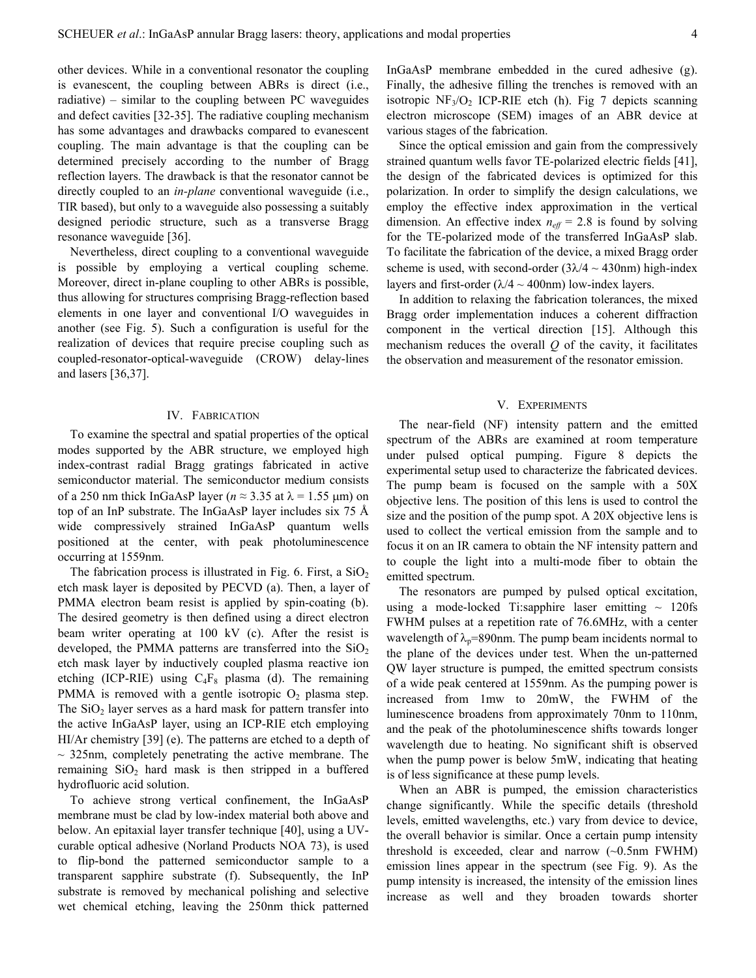other devices. While in a conventional resonator the coupling is evanescent, the coupling between ABRs is direct (i.e., radiative) – similar to the coupling between PC waveguides and defect cavities [32-35]. The radiative coupling mechanism has some advantages and drawbacks compared to evanescent coupling. The main advantage is that the coupling can be determined precisely according to the number of Bragg reflection layers. The drawback is that the resonator cannot be directly coupled to an *in-plane* conventional waveguide (i.e., TIR based), but only to a waveguide also possessing a suitably designed periodic structure, such as a transverse Bragg resonance waveguide [36].

Nevertheless, direct coupling to a conventional waveguide is possible by employing a vertical coupling scheme. Moreover, direct in-plane coupling to other ABRs is possible, thus allowing for structures comprising Bragg-reflection based elements in one layer and conventional I/O waveguides in another (see Fig. 5). Such a configuration is useful for the realization of devices that require precise coupling such as coupled-resonator-optical-waveguide (CROW) delay-lines and lasers [36,37].

## IV. FABRICATION

To examine the spectral and spatial properties of the optical modes supported by the ABR structure, we employed high index-contrast radial Bragg gratings fabricated in active semiconductor material. The semiconductor medium consists of a 250 nm thick InGaAsP layer ( $n \approx 3.35$  at  $\lambda = 1.55$  µm) on top of an InP substrate. The InGaAsP layer includes six 75 Å wide compressively strained InGaAsP quantum wells positioned at the center, with peak photoluminescence occurring at 1559nm.

The fabrication process is illustrated in Fig. 6. First, a  $SiO<sub>2</sub>$ etch mask layer is deposited by PECVD (a). Then, a layer of PMMA electron beam resist is applied by spin-coating (b). The desired geometry is then defined using a direct electron beam writer operating at 100 kV (c). After the resist is developed, the PMMA patterns are transferred into the  $SiO<sub>2</sub>$ etch mask layer by inductively coupled plasma reactive ion etching (ICP-RIE) using  $C_4F_8$  plasma (d). The remaining PMMA is removed with a gentle isotropic  $O_2$  plasma step. The  $SiO<sub>2</sub>$  layer serves as a hard mask for pattern transfer into the active InGaAsP layer, using an ICP-RIE etch employing HI/Ar chemistry [39] (e). The patterns are etched to a depth of  $\sim$  325nm, completely penetrating the active membrane. The remaining  $SiO<sub>2</sub>$  hard mask is then stripped in a buffered hydrofluoric acid solution.

To achieve strong vertical confinement, the InGaAsP membrane must be clad by low-index material both above and below. An epitaxial layer transfer technique [40], using a UVcurable optical adhesive (Norland Products NOA 73), is used to flip-bond the patterned semiconductor sample to a transparent sapphire substrate (f). Subsequently, the InP substrate is removed by mechanical polishing and selective wet chemical etching, leaving the 250nm thick patterned

InGaAsP membrane embedded in the cured adhesive (g). Finally, the adhesive filling the trenches is removed with an isotropic  $NF_3/O_2$  ICP-RIE etch (h). Fig 7 depicts scanning electron microscope (SEM) images of an ABR device at various stages of the fabrication.

Since the optical emission and gain from the compressively strained quantum wells favor TE-polarized electric fields [41], the design of the fabricated devices is optimized for this polarization. In order to simplify the design calculations, we employ the effective index approximation in the vertical dimension. An effective index  $n_{\text{eff}} = 2.8$  is found by solving for the TE-polarized mode of the transferred InGaAsP slab. To facilitate the fabrication of the device, a mixed Bragg order scheme is used, with second-order  $(3\lambda/4 \sim 430$ nm) high-index layers and first-order ( $\lambda$ /4 ~ 400nm) low-index layers.

In addition to relaxing the fabrication tolerances, the mixed Bragg order implementation induces a coherent diffraction component in the vertical direction [15]. Although this mechanism reduces the overall *Q* of the cavity, it facilitates the observation and measurement of the resonator emission.

## V. EXPERIMENTS

The near-field (NF) intensity pattern and the emitted spectrum of the ABRs are examined at room temperature under pulsed optical pumping. Figure 8 depicts the experimental setup used to characterize the fabricated devices. The pump beam is focused on the sample with a 50X objective lens. The position of this lens is used to control the size and the position of the pump spot. A 20X objective lens is used to collect the vertical emission from the sample and to focus it on an IR camera to obtain the NF intensity pattern and to couple the light into a multi-mode fiber to obtain the emitted spectrum.

The resonators are pumped by pulsed optical excitation, using a mode-locked Ti:sapphire laser emitting  $\sim$  120fs FWHM pulses at a repetition rate of 76.6MHz, with a center wavelength of  $\lambda_p$ =890nm. The pump beam incidents normal to the plane of the devices under test. When the un-patterned QW layer structure is pumped, the emitted spectrum consists of a wide peak centered at 1559nm. As the pumping power is increased from 1mw to 20mW, the FWHM of the luminescence broadens from approximately 70nm to 110nm, and the peak of the photoluminescence shifts towards longer wavelength due to heating. No significant shift is observed when the pump power is below 5mW, indicating that heating is of less significance at these pump levels.

When an ABR is pumped, the emission characteristics change significantly. While the specific details (threshold levels, emitted wavelengths, etc.) vary from device to device, the overall behavior is similar. Once a certain pump intensity threshold is exceeded, clear and narrow (~0.5nm FWHM) emission lines appear in the spectrum (see Fig. 9). As the pump intensity is increased, the intensity of the emission lines increase as well and they broaden towards shorter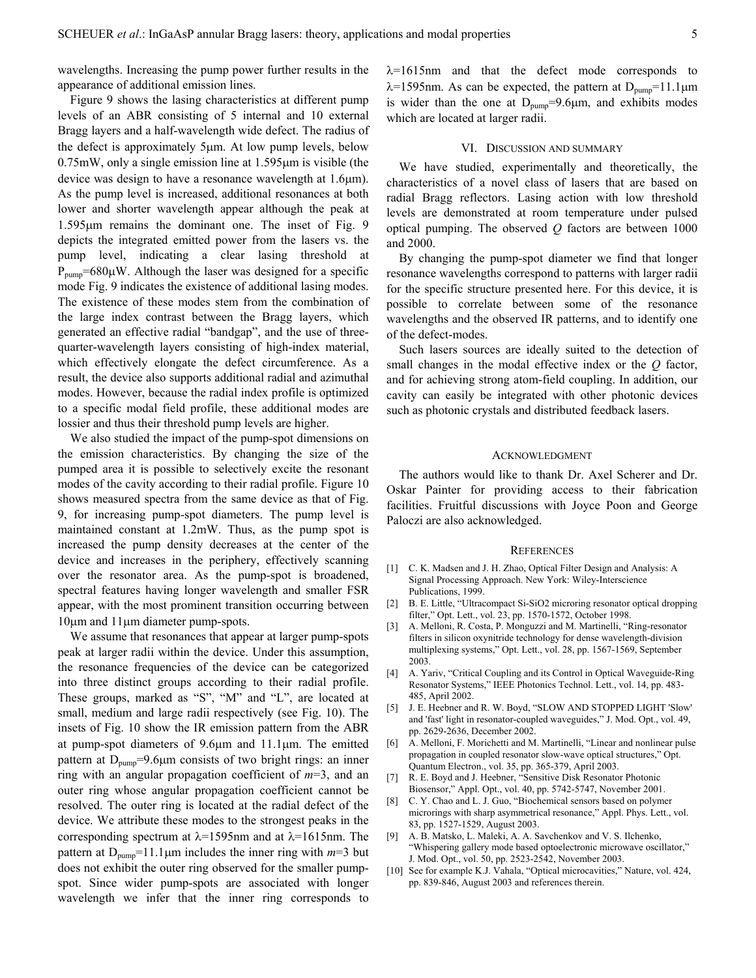wavelengths. Increasing the pump power further results in the appearance of additional emission lines.

Figure 9 shows the lasing characteristics at different pump levels of an ABR consisting of 5 internal and 10 external Bragg layers and a half-wavelength wide defect. The radius of the defect is approximately 5µm. At low pump levels, below 0.75mW, only a single emission line at 1.595µm is visible (the device was design to have a resonance wavelength at 1.6µm). As the pump level is increased, additional resonances at both lower and shorter wavelength appear although the peak at 1.595µm remains the dominant one. The inset of Fig. 9 depicts the integrated emitted power from the lasers vs. the pump level, indicating a clear lasing threshold at  $P_{pump}=680\mu$ W. Although the laser was designed for a specific mode Fig. 9 indicates the existence of additional lasing modes. The existence of these modes stem from the combination of the large index contrast between the Bragg layers, which generated an effective radial "bandgap", and the use of threequarter-wavelength layers consisting of high-index material, which effectively elongate the defect circumference. As a result, the device also supports additional radial and azimuthal modes. However, because the radial index profile is optimized to a specific modal field profile, these additional modes are lossier and thus their threshold pump levels are higher.

We also studied the impact of the pump-spot dimensions on the emission characteristics. By changing the size of the pumped area it is possible to selectively excite the resonant modes of the cavity according to their radial profile. Figure 10 shows measured spectra from the same device as that of Fig. 9, for increasing pump-spot diameters. The pump level is maintained constant at 1.2mW. Thus, as the pump spot is increased the pump density decreases at the center of the device and increases in the periphery, effectively scanning over the resonator area. As the pump-spot is broadened, spectral features having longer wavelength and smaller FSR appear, with the most prominent transition occurring between 10µm and 11µm diameter pump-spots.

We assume that resonances that appear at larger pump-spots peak at larger radii within the device. Under this assumption, the resonance frequencies of the device can be categorized into three distinct groups according to their radial profile. These groups, marked as "S", "M" and "L", are located at small, medium and large radii respectively (see Fig. 10). The insets of Fig. 10 show the IR emission pattern from the ABR at pump-spot diameters of 9.6µm and 11.1µm. The emitted pattern at  $D_{pump}=9.6\mu m$  consists of two bright rings: an inner ring with an angular propagation coefficient of *m*=3, and an outer ring whose angular propagation coefficient cannot be resolved. The outer ring is located at the radial defect of the device. We attribute these modes to the strongest peaks in the corresponding spectrum at λ=1595nm and at λ=1615nm. The pattern at  $D_{\text{pump}}=11.1 \mu m$  includes the inner ring with  $m=3$  but does not exhibit the outer ring observed for the smaller pumpspot. Since wider pump-spots are associated with longer wavelength we infer that the inner ring corresponds to

 $\lambda$ =1615nm and that the defect mode corresponds to  $\lambda$ =1595nm. As can be expected, the pattern at D<sub>pump</sub>=11.1 $\mu$ m is wider than the one at  $D_{\text{pump}}=9.6\mu$ m, and exhibits modes which are located at larger radii.

## VI. DISCUSSION AND SUMMARY

We have studied, experimentally and theoretically, the characteristics of a novel class of lasers that are based on radial Bragg reflectors. Lasing action with low threshold levels are demonstrated at room temperature under pulsed optical pumping. The observed *Q* factors are between 1000 and 2000.

By changing the pump-spot diameter we find that longer resonance wavelengths correspond to patterns with larger radii for the specific structure presented here. For this device, it is possible to correlate between some of the resonance wavelengths and the observed IR patterns, and to identify one of the defect-modes.

Such lasers sources are ideally suited to the detection of small changes in the modal effective index or the *Q* factor, and for achieving strong atom-field coupling. In addition, our cavity can easily be integrated with other photonic devices such as photonic crystals and distributed feedback lasers.

#### ACKNOWLEDGMENT

The authors would like to thank Dr. Axel Scherer and Dr. Oskar Painter for providing access to their fabrication facilities. Fruitful discussions with Joyce Poon and George Paloczi are also acknowledged.

#### **REFERENCES**

- [1] C. K. Madsen and J. H. Zhao, Optical Filter Design and Analysis: A Signal Processing Approach. New York: Wiley-Interscience Publications, 1999.
- [2] B. E. Little, "Ultracompact Si-SiO2 microring resonator optical dropping filter," Opt. Lett., vol. 23, pp. 1570-1572, October 1998.
- [3] A. Melloni, R. Costa, P. Monguzzi and M. Martinelli, "Ring-resonator filters in silicon oxynitride technology for dense wavelength-division multiplexing systems," Opt. Lett., vol. 28, pp. 1567-1569, September 2003.
- [4] A. Yariv, "Critical Coupling and its Control in Optical Waveguide-Ring Resonator Systems," IEEE Photonics Technol. Lett., vol. 14, pp. 483- 485, April 2002.
- [5] J. E. Heebner and R. W. Boyd, "SLOW AND STOPPED LIGHT 'Slow' and 'fast' light in resonator-coupled waveguides," J. Mod. Opt., vol. 49, pp. 2629-2636, December 2002.
- [6] A. Melloni, F. Morichetti and M. Martinelli, "Linear and nonlinear pulse propagation in coupled resonator slow-wave optical structures," Opt. Quantum Electron., vol. 35, pp. 365-379, April 2003.
- [7] R. E. Boyd and J. Heebner, "Sensitive Disk Resonator Photonic Biosensor," Appl. Opt., vol. 40, pp. 5742-5747, November 2001.
- [8] C. Y. Chao and L. J. Guo, "Biochemical sensors based on polymer microrings with sharp asymmetrical resonance," Appl. Phys. Lett., vol. 83, pp. 1527-1529, August 2003.
- [9] A. B. Matsko, L. Maleki, A. A. Savchenkov and V. S. Ilchenko, "Whispering gallery mode based optoelectronic microwave oscillator," J. Mod. Opt., vol. 50, pp. 2523-2542, November 2003.
- [10] See for example K.J. Vahala, "Optical microcavities," Nature, vol. 424, pp. 839-846, August 2003 and references therein.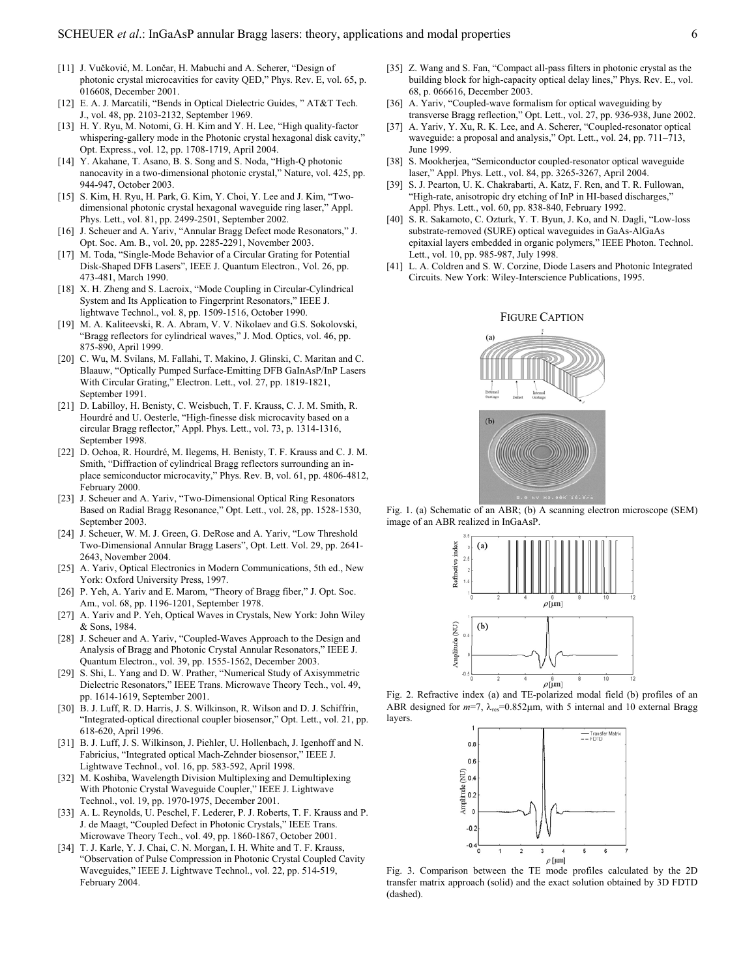- [11] J. Vučković, M. Lončar, H. Mabuchi and A. Scherer, "Design of photonic crystal microcavities for cavity QED," Phys. Rev. E, vol. 65, p. 016608, December 2001.
- [12] E. A. J. Marcatili, "Bends in Optical Dielectric Guides, " AT&T Tech. J., vol. 48, pp. 2103-2132, September 1969.
- [13] H. Y. Ryu, M. Notomi, G. H. Kim and Y. H. Lee, "High quality-factor whispering-gallery mode in the Photonic crystal hexagonal disk cavity," Opt. Express., vol. 12, pp. 1708-1719, April 2004.
- [14] Y. Akahane, T. Asano, B. S. Song and S. Noda, "High-Q photonic nanocavity in a two-dimensional photonic crystal," Nature, vol. 425, pp. 944-947, October 2003.
- [15] S. Kim, H. Ryu, H. Park, G. Kim, Y. Choi, Y. Lee and J. Kim, "Twodimensional photonic crystal hexagonal waveguide ring laser," Appl. Phys. Lett., vol. 81, pp. 2499-2501, September 2002.
- [16] J. Scheuer and A. Yariv, "Annular Bragg Defect mode Resonators," J. Opt. Soc. Am. B., vol. 20, pp. 2285-2291, November 2003.
- [17] M. Toda, "Single-Mode Behavior of a Circular Grating for Potential Disk-Shaped DFB Lasers", IEEE J. Quantum Electron., Vol. 26, pp. 473-481, March 1990.
- [18] X. H. Zheng and S. Lacroix, "Mode Coupling in Circular-Cylindrical System and Its Application to Fingerprint Resonators," IEEE J. lightwave Technol., vol. 8, pp. 1509-1516, October 1990.
- FIGURE CAPTION [19] M. A. Kaliteevski, R. A. Abram, V. V. Nikolaev and G.S. Sokolovski, "Bragg reflectors for cylindrical waves," J. Mod. Optics, vol. 46, pp. 875-890, April 1999.
- [20] C. Wu, M. Svilans, M. Fallahi, T. Makino, J. Glinski, C. Maritan and C. Blaauw, "Optically Pumped Surface-Emitting DFB GaInAsP/InP Lasers With Circular Grating," Electron. Lett., vol. 27, pp. 1819-1821, September 1991.
- [21] D. Labilloy, H. Benisty, C. Weisbuch, T. F. Krauss, C. J. M. Smith, R. Hourdré and U. Oesterle, "High-finesse disk microcavity based on a circular Bragg reflector," Appl. Phys. Lett., vol. 73, p. 1314-1316, September 1998.
- [22] D. Ochoa, R. Hourdré, M. Ilegems, H. Benisty, T. F. Krauss and C. J. M. Smith, "Diffraction of cylindrical Bragg reflectors surrounding an inplace semiconductor microcavity," Phys. Rev. B, vol. 61, pp. 4806-4812, February 2000.
- [23] J. Scheuer and A. Yariv, "Two-Dimensional Optical Ring Resonators Based on Radial Bragg Resonance," Opt. Lett., vol. 28, pp. 1528-1530, September 2003.
- [24] J. Scheuer, W. M. J. Green, G. DeRose and A. Yariv, "Low Threshold Two-Dimensional Annular Bragg Lasers", Opt. Lett. Vol. 29, pp. 2641- 2643, November 2004.
- [25] A. Yariv, Optical Electronics in Modern Communications, 5th ed., New York: Oxford University Press, 1997.
- [26] P. Yeh, A. Yariv and E. Marom, "Theory of Bragg fiber," J. Opt. Soc. Am., vol. 68, pp. 1196-1201, September 1978.
- [27] A. Yariv and P. Yeh, Optical Waves in Crystals, New York: John Wiley & Sons, 1984.
- [28] J. Scheuer and A. Yariv, "Coupled-Waves Approach to the Design and Analysis of Bragg and Photonic Crystal Annular Resonators," IEEE J. Quantum Electron., vol. 39, pp. 1555-1562, December 2003.
- [29] S. Shi, L. Yang and D. W. Prather, "Numerical Study of Axisymmetric Dielectric Resonators," IEEE Trans. Microwave Theory Tech., vol. 49, pp. 1614-1619, September 2001. Fig. 2. Refractive index (a) and TE-polarized modal field (b) profiles of an
- [30] B. J. Luff, R. D. Harris, J. S. Wilkinson, R. Wilson and D. J. Schiffrin, "Integrated-optical directional coupler biosensor," Opt. Lett., vol. 21, pp. 618-620, April 1996.
- [31] B. J. Luff, J. S. Wilkinson, J. Piehler, U. Hollenbach, J. Igenhoff and N. Fabricius, "Integrated optical Mach-Zehnder biosensor," IEEE J. Lightwave Technol., vol. 16, pp. 583-592, April 1998.
- [32] M. Koshiba, Wavelength Division Multiplexing and Demultiplexing With Photonic Crystal Waveguide Coupler," IEEE J. Lightwave Technol., vol. 19, pp. 1970-1975, December 2001.
- [33] A. L. Reynolds, U. Peschel, F. Lederer, P. J. Roberts, T. F. Krauss and P. J. de Maagt, "Coupled Defect in Photonic Crystals," IEEE Trans. Microwave Theory Tech., vol. 49, pp. 1860-1867, October 2001.
- [34] T. J. Karle, Y. J. Chai, C. N. Morgan, I. H. White and T. F. Krauss, "Observation of Pulse Compression in Photonic Crystal Coupled Cavity Waveguides," IEEE J. Lightwave Technol., vol. 22, pp. 514-519, February 2004.
- [35] Z. Wang and S. Fan, "Compact all-pass filters in photonic crystal as the building block for high-capacity optical delay lines," Phys. Rev. E., vol. 68, p. 066616, December 2003.
- [36] A. Yariv, "Coupled-wave formalism for optical waveguiding by transverse Bragg reflection," Opt. Lett., vol. 27, pp. 936-938, June 2002.
- [37] A. Yariv, Y. Xu, R. K. Lee, and A. Scherer, "Coupled-resonator optical waveguide: a proposal and analysis," Opt. Lett., vol. 24, pp. 711–713, June 1999.
- [38] S. Mookherjea, "Semiconductor coupled-resonator optical waveguide laser," Appl. Phys. Lett., vol. 84, pp. 3265-3267, April 2004.
- [39] S. J. Pearton, U. K. Chakrabarti, A. Katz, F. Ren, and T. R. Fullowan, "High-rate, anisotropic dry etching of InP in HI-based discharges," Appl. Phys. Lett., vol. 60, pp. 838-840, February 1992.
- [40] S. R. Sakamoto, C. Ozturk, Y. T. Byun, J. Ko, and N. Dagli, "Low-loss substrate-removed (SURE) optical waveguides in GaAs-AlGaAs epitaxial layers embedded in organic polymers," IEEE Photon. Technol. Lett., vol. 10, pp. 985-987, July 1998.
- [41] L. A. Coldren and S. W. Corzine, Diode Lasers and Photonic Integrated Circuits. New York: Wiley-Interscience Publications, 1995.



Fig. 1. (a) Schematic of an ABR; (b) A scanning electron microscope (SEM) image of an ABR realized in InGaAsP.



ABR designed for  $m=7$ ,  $\lambda_{res}=0.852\mu$ m, with 5 internal and 10 external Bragg layers.



Fig. 3. Comparison between the TE mode profiles calculated by the 2D transfer matrix approach (solid) and the exact solution obtained by 3D FDTD (dashed).